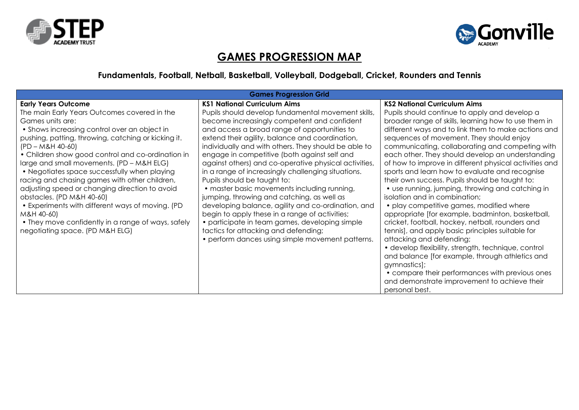



## **GAMES PROGRESSION MAP**

## **Fundamentals, Football, Netball, Basketball, Volleyball, Dodgeball, Cricket, Rounders and Tennis**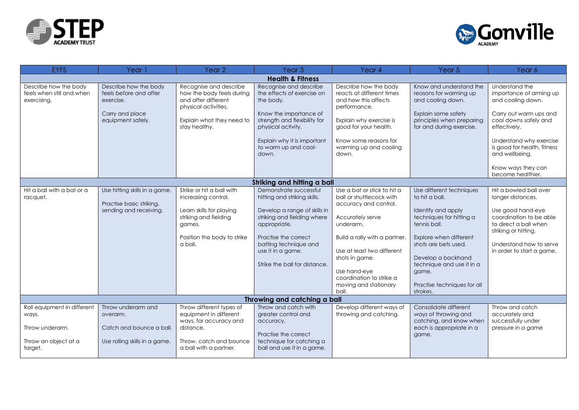



| <b>EYFS</b>                                                       | Year 1                                                                                               | Year <sub>2</sub>                                                                                                                                         | Year <sub>3</sub>                                                                                                                                                                                                                            | Year 4                                                                                                                                                                                                                                         | Year 5                                                                                                                                                                                                                     | Year 6                                                                                                                                                                                               |  |  |
|-------------------------------------------------------------------|------------------------------------------------------------------------------------------------------|-----------------------------------------------------------------------------------------------------------------------------------------------------------|----------------------------------------------------------------------------------------------------------------------------------------------------------------------------------------------------------------------------------------------|------------------------------------------------------------------------------------------------------------------------------------------------------------------------------------------------------------------------------------------------|----------------------------------------------------------------------------------------------------------------------------------------------------------------------------------------------------------------------------|------------------------------------------------------------------------------------------------------------------------------------------------------------------------------------------------------|--|--|
| <b>Health &amp; Fitness</b>                                       |                                                                                                      |                                                                                                                                                           |                                                                                                                                                                                                                                              |                                                                                                                                                                                                                                                |                                                                                                                                                                                                                            |                                                                                                                                                                                                      |  |  |
| Describe how the body<br>feels when still and when<br>exercising. | Describe how the body<br>feels before and after<br>exercise.<br>Carry and place<br>equipment safely. | Recognise and describe<br>how the body feels during<br>and after different<br>physical activities.<br>Explain what they need to                           | Recognise and describe<br>the effects of exercise on<br>the body.<br>Know the importance of<br>strength and flexibility for                                                                                                                  | Describe how the body<br>reacts at different times<br>and how this affects<br>performance.<br>Explain why exercise is                                                                                                                          | Know and understand the<br>reasons for warming up<br>and cooling down.<br>Explain some safety<br>principles when preparing                                                                                                 | Understand the<br>importance of arming up<br>and cooling down.<br>Carry out warm ups and<br>cool downs safely and                                                                                    |  |  |
|                                                                   |                                                                                                      | stay healthy.                                                                                                                                             | physical activity.                                                                                                                                                                                                                           | good for your health.                                                                                                                                                                                                                          | for and during exercise.                                                                                                                                                                                                   | effectively.                                                                                                                                                                                         |  |  |
|                                                                   |                                                                                                      |                                                                                                                                                           | Explain why it is important<br>to warm up and cool-<br>down.                                                                                                                                                                                 | Know some reasons for<br>warming up and cooling<br>down.                                                                                                                                                                                       |                                                                                                                                                                                                                            | Understand why exercise<br>is good for health, fitness<br>and wellbeing.                                                                                                                             |  |  |
|                                                                   |                                                                                                      |                                                                                                                                                           |                                                                                                                                                                                                                                              |                                                                                                                                                                                                                                                |                                                                                                                                                                                                                            | Know ways they can<br>become healthier.                                                                                                                                                              |  |  |
|                                                                   |                                                                                                      |                                                                                                                                                           | Striking and hitting a ball                                                                                                                                                                                                                  |                                                                                                                                                                                                                                                |                                                                                                                                                                                                                            |                                                                                                                                                                                                      |  |  |
| Hit a ball with a bat or a<br>racquet.                            | Use hitting skills in a game.<br>Practise basic striking,<br>sending and receiving.                  | Strike or hit a ball with<br>increasing control.<br>Learn skills for playing<br>striking and fielding<br>games.<br>Position the body to strike<br>a ball. | Demonstrate successful<br>hitting and striking skills.<br>Develop a range of skills in<br>striking and fielding where<br>appropriate.<br>Practise the correct<br>batting technique and<br>use it in a game.<br>Strike the ball for distance. | Use a bat or stick to hit a<br>ball or shuttlecock with<br>accuracy and control.<br>Accurately serve<br>underarm.<br>Build a rally with a partner.<br>Use at least two different<br>shots in game.<br>Use hand-eye<br>coordination to strike a | Use different techniques<br>to hit a ball.<br>Identify and apply<br>techniques for hitting a<br>tennis ball.<br>Explore when different<br>shots are bets used.<br>Develop a backhand<br>technique and use it in a<br>game. | Hit a bowled ball over<br>longer distances.<br>Use good hand-eye<br>coordination to be able<br>to direct a ball when<br>striking or hitting.<br>Understand how to serve<br>in order to start a game. |  |  |
|                                                                   |                                                                                                      |                                                                                                                                                           |                                                                                                                                                                                                                                              | moving and stationary<br>ball.                                                                                                                                                                                                                 | Practise techniques for all<br>strokes.                                                                                                                                                                                    |                                                                                                                                                                                                      |  |  |
|                                                                   | Throwing and catching a ball                                                                         |                                                                                                                                                           |                                                                                                                                                                                                                                              |                                                                                                                                                                                                                                                |                                                                                                                                                                                                                            |                                                                                                                                                                                                      |  |  |
| Roll equipment in different<br>ways.<br>Throw underarm.           | Throw underarm and<br>overarm.<br>Catch and bounce a ball.                                           | Throw different types of<br>equipment in different<br>ways, for accuracy and<br>distance.                                                                 | Throw and catch with<br>greater control and<br>accuracy.                                                                                                                                                                                     | Develop different ways of<br>throwing and catching.                                                                                                                                                                                            | Consolidate different<br>ways of throwing and<br>catching, and know when<br>each is appropriate in a                                                                                                                       | Throw and catch<br>accurately and<br>successfully under<br>pressure in a game                                                                                                                        |  |  |
| Throw an object at a<br>target.                                   | Use rolling skills in a game.                                                                        | Throw, catch and bounce<br>a ball with a partner.                                                                                                         | Practise the correct<br>technique for catching a<br>ball and use it in a game.                                                                                                                                                               |                                                                                                                                                                                                                                                | game.                                                                                                                                                                                                                      |                                                                                                                                                                                                      |  |  |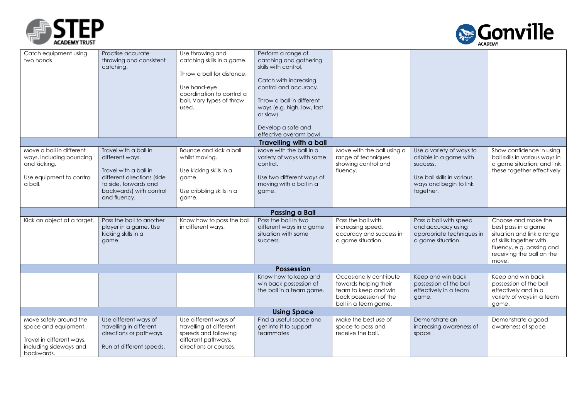



| Catch equipment using<br>two hands                                                                                  | Practise accurate<br>throwing and consistent<br>catching.                                                                                                           | Use throwing and<br>catching skills in a game.<br>Throw a ball for distance.<br>Use hand-eye<br>coordination to control a<br>ball. Vary types of throw<br>used. | Perform a range of<br>catching and gathering<br>skills with control.<br>Catch with increasing<br>control and accuracy.<br>Throw a ball in different<br>ways (e.g. high, low, fast<br>or slow).<br>Develop a safe and<br>effective overarm bowl. |                                                                                                                            |                                                                                                                                     |                                                                                                                                                                        |
|---------------------------------------------------------------------------------------------------------------------|---------------------------------------------------------------------------------------------------------------------------------------------------------------------|-----------------------------------------------------------------------------------------------------------------------------------------------------------------|-------------------------------------------------------------------------------------------------------------------------------------------------------------------------------------------------------------------------------------------------|----------------------------------------------------------------------------------------------------------------------------|-------------------------------------------------------------------------------------------------------------------------------------|------------------------------------------------------------------------------------------------------------------------------------------------------------------------|
|                                                                                                                     |                                                                                                                                                                     |                                                                                                                                                                 | <b>Travelling with a ball</b>                                                                                                                                                                                                                   |                                                                                                                            |                                                                                                                                     |                                                                                                                                                                        |
| Move a ball in different<br>ways, including bouncing<br>and kicking.<br>Use equipment to control<br>a ball.         | Travel with a ball in<br>different ways.<br>Travel with a ball in<br>different directions (side<br>to side, forwards and<br>backwards) with control<br>and fluency. | Bounce and kick a ball<br>whilst moving.<br>Use kicking skills in a<br>game.<br>Use dribbling skills in a<br>game.                                              | Move with the ball in a<br>variety of ways with some<br>control.<br>Use two different ways of<br>moving with a ball in a<br>game.                                                                                                               | Move with the ball using a<br>range of techniques<br>showing control and<br>fluency.                                       | Use a variety of ways to<br>dribble in a game with<br>success.<br>Use ball skills in various<br>ways and begin to link<br>together. | Show confidence in using<br>ball skills in various ways in<br>a game situation, and link<br>these together effectively                                                 |
|                                                                                                                     |                                                                                                                                                                     |                                                                                                                                                                 | <b>Passing a Ball</b>                                                                                                                                                                                                                           |                                                                                                                            |                                                                                                                                     |                                                                                                                                                                        |
| Kick an object at a target.                                                                                         | Pass the ball to another<br>player in a game. Use<br>kicking skills in a<br>game.                                                                                   | Know how to pass the ball<br>in different ways.                                                                                                                 | Pass the ball in two<br>different ways in a game<br>situation with some<br>success.                                                                                                                                                             | Pass the ball with<br>increasing speed,<br>accuracy and success in<br>a game situation                                     | Pass a ball with speed<br>and accuracy using<br>appropriate techniques in<br>a game situation.                                      | Choose and make the<br>best pass in a game<br>situation and link a range<br>of skills together with<br>fluency, e.g. passing and<br>receiving the ball on the<br>move. |
|                                                                                                                     |                                                                                                                                                                     |                                                                                                                                                                 | <b>Possession</b>                                                                                                                                                                                                                               |                                                                                                                            |                                                                                                                                     |                                                                                                                                                                        |
|                                                                                                                     |                                                                                                                                                                     |                                                                                                                                                                 | Know how to keep and<br>win back possession of<br>the ball in a team game.                                                                                                                                                                      | Occasionally contribute<br>towards helping their<br>team to keep and win<br>back possession of the<br>ball in a team game. | Keep and win back<br>possession of the ball<br>effectively in a team<br>game.                                                       | Keep and win back<br>possession of the ball<br>effectively and in a<br>variety of ways in a team<br>game.                                                              |
| <b>Using Space</b>                                                                                                  |                                                                                                                                                                     |                                                                                                                                                                 |                                                                                                                                                                                                                                                 |                                                                                                                            |                                                                                                                                     |                                                                                                                                                                        |
| Move safely around the<br>space and equipment.<br>Travel in different ways,<br>including sideways and<br>backwards. | Use different ways of<br>travelling in different<br>directions or pathways.<br>Run at different speeds.                                                             | Use different ways of<br>travelling at different<br>speeds and following<br>different pathways,<br>directions or courses.                                       | Find a useful space and<br>get into it to support<br>teammates                                                                                                                                                                                  | Make the best use of<br>space to pass and<br>receive the ball.                                                             | Demonstrate an<br>increasing awareness of<br>space                                                                                  | Demonstrate a good<br>awareness of space                                                                                                                               |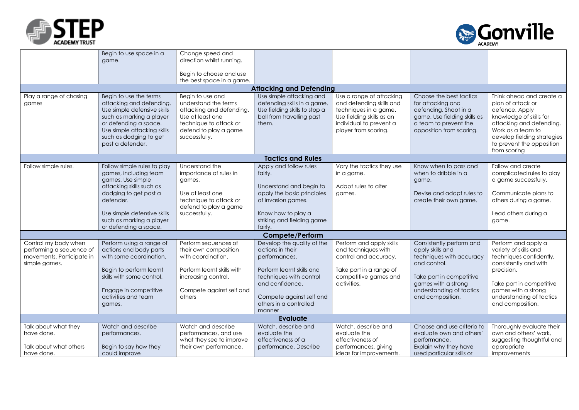| <b>ACADEMY TRUST</b> |
|----------------------|



|                                            | Begin to use space in a                                                                                                                                                                   | Change speed and                                                                                                                         |                                                                                                    |                                                                                                                                   |                                                                                                                                 |                                                                                                                                                                                             |
|--------------------------------------------|-------------------------------------------------------------------------------------------------------------------------------------------------------------------------------------------|------------------------------------------------------------------------------------------------------------------------------------------|----------------------------------------------------------------------------------------------------|-----------------------------------------------------------------------------------------------------------------------------------|---------------------------------------------------------------------------------------------------------------------------------|---------------------------------------------------------------------------------------------------------------------------------------------------------------------------------------------|
|                                            | game.                                                                                                                                                                                     | direction whilst running.                                                                                                                |                                                                                                    |                                                                                                                                   |                                                                                                                                 |                                                                                                                                                                                             |
|                                            |                                                                                                                                                                                           | Begin to choose and use                                                                                                                  |                                                                                                    |                                                                                                                                   |                                                                                                                                 |                                                                                                                                                                                             |
|                                            |                                                                                                                                                                                           | the best space in a game.                                                                                                                |                                                                                                    |                                                                                                                                   |                                                                                                                                 |                                                                                                                                                                                             |
|                                            |                                                                                                                                                                                           |                                                                                                                                          | <b>Attacking and Defending</b>                                                                     |                                                                                                                                   |                                                                                                                                 |                                                                                                                                                                                             |
| Play a range of chasing                    | Begin to use the terms                                                                                                                                                                    | Begin to use and                                                                                                                         | Use simple attacking and                                                                           | Use a range of attacking                                                                                                          | Choose the best tactics                                                                                                         | Think ahead and create a                                                                                                                                                                    |
| games                                      | attacking and defending.<br>Use simple defensive skills<br>such as marking a player<br>or defending a space.<br>Use simple attacking skills<br>such as dodging to get<br>past a defender. | understand the terms<br>attacking and defending.<br>Use at least one<br>technique to attack or<br>defend to play a game<br>successfully. | defending skills in a game.<br>Use fielding skills to stop a<br>ball from travelling past<br>them. | and defending skills and<br>techniques in a game.<br>Use fielding skills as an<br>individual to prevent a<br>player from scoring. | for attacking and<br>defending. Shoot in a<br>game. Use fielding skills as<br>a team to prevent the<br>opposition from scoring. | plan of attack or<br>defence. Apply<br>knowledge of skills for<br>attacking and defending.<br>Work as a team to<br>develop fielding strategies<br>to prevent the opposition<br>from scoring |
|                                            |                                                                                                                                                                                           |                                                                                                                                          | <b>Tactics and Rules</b>                                                                           |                                                                                                                                   |                                                                                                                                 |                                                                                                                                                                                             |
| Follow simple rules.                       | Follow simple rules to play                                                                                                                                                               | Understand the                                                                                                                           | Apply and follow rules                                                                             | Vary the tactics they use                                                                                                         | Know when to pass and                                                                                                           | Follow and create                                                                                                                                                                           |
|                                            | games, including team                                                                                                                                                                     | importance of rules in                                                                                                                   | fairly.                                                                                            | in a game.                                                                                                                        | when to dribble in a                                                                                                            | complicated rules to play                                                                                                                                                                   |
|                                            | games. Use simple                                                                                                                                                                         | games.                                                                                                                                   |                                                                                                    |                                                                                                                                   | game.                                                                                                                           | a game successfully.                                                                                                                                                                        |
|                                            | attacking skills such as<br>dodging to get past a                                                                                                                                         | Use at least one                                                                                                                         | Understand and begin to<br>apply the basic principles                                              | Adapt rules to alter                                                                                                              | Devise and adapt rules to                                                                                                       | Communicate plans to                                                                                                                                                                        |
|                                            | defender.                                                                                                                                                                                 | technique to attack or                                                                                                                   | of invasion games.                                                                                 | games.                                                                                                                            | create their own game.                                                                                                          | others during a game.                                                                                                                                                                       |
|                                            |                                                                                                                                                                                           | defend to play a game                                                                                                                    |                                                                                                    |                                                                                                                                   |                                                                                                                                 |                                                                                                                                                                                             |
|                                            | Use simple defensive skills                                                                                                                                                               | successfully.                                                                                                                            | Know how to play a                                                                                 |                                                                                                                                   |                                                                                                                                 | Lead others during a                                                                                                                                                                        |
|                                            | such as marking a player                                                                                                                                                                  |                                                                                                                                          | striking and fielding game                                                                         |                                                                                                                                   |                                                                                                                                 | game.                                                                                                                                                                                       |
|                                            | or defending a space.                                                                                                                                                                     |                                                                                                                                          | fairly.                                                                                            |                                                                                                                                   |                                                                                                                                 |                                                                                                                                                                                             |
|                                            |                                                                                                                                                                                           |                                                                                                                                          | <b>Compete/Perform</b>                                                                             |                                                                                                                                   |                                                                                                                                 |                                                                                                                                                                                             |
| Control my body when                       | Perform using a range of                                                                                                                                                                  | Perform sequences of                                                                                                                     | Develop the quality of the                                                                         | Perform and apply skills                                                                                                          | Consistently perform and                                                                                                        | Perform and apply a                                                                                                                                                                         |
| performing a sequence of                   | actions and body parts<br>with some coordination.                                                                                                                                         | their own composition<br>with coordination.                                                                                              | actions in their                                                                                   | and techniques with                                                                                                               | apply skills and                                                                                                                | variety of skills and                                                                                                                                                                       |
| movements. Participate in<br>simple games. |                                                                                                                                                                                           |                                                                                                                                          | performances.                                                                                      | control and accuracy.                                                                                                             | techniques with accuracy<br>and control.                                                                                        | techniques confidently,<br>consistently and with                                                                                                                                            |
|                                            | Begin to perform learnt                                                                                                                                                                   | Perform learnt skills with                                                                                                               | Perform learnt skills and                                                                          | Take part in a range of                                                                                                           |                                                                                                                                 | precision.                                                                                                                                                                                  |
|                                            | skills with some control.                                                                                                                                                                 | increasing control.                                                                                                                      | techniques with control                                                                            | competitive games and                                                                                                             | Take part in competitive                                                                                                        |                                                                                                                                                                                             |
|                                            |                                                                                                                                                                                           |                                                                                                                                          | and confidence.                                                                                    | activities.                                                                                                                       | games with a strong                                                                                                             | Take part in competitive                                                                                                                                                                    |
|                                            | Engage in competitive                                                                                                                                                                     | Compete against self and                                                                                                                 |                                                                                                    |                                                                                                                                   | understanding of tactics                                                                                                        | games with a strong                                                                                                                                                                         |
|                                            | activities and team                                                                                                                                                                       | others                                                                                                                                   | Compete against self and                                                                           |                                                                                                                                   | and composition.                                                                                                                | understanding of tactics                                                                                                                                                                    |
|                                            | games.                                                                                                                                                                                    |                                                                                                                                          | others in a controlled                                                                             |                                                                                                                                   |                                                                                                                                 | and composition.                                                                                                                                                                            |
|                                            |                                                                                                                                                                                           |                                                                                                                                          | manner                                                                                             |                                                                                                                                   |                                                                                                                                 |                                                                                                                                                                                             |
| Talk about what they                       | Watch and describe                                                                                                                                                                        | Watch and describe                                                                                                                       | <b>Evaluate</b><br>Watch, describe and                                                             | Watch, describe and                                                                                                               | Choose and use criteria to                                                                                                      | Thoroughly evaluate their                                                                                                                                                                   |
| have done.                                 | performances.                                                                                                                                                                             | performances, and use                                                                                                                    | evaluate the                                                                                       | evaluate the                                                                                                                      | evaluate own and others'                                                                                                        | own and others' work,                                                                                                                                                                       |
|                                            |                                                                                                                                                                                           | what they see to improve                                                                                                                 | effectiveness of a                                                                                 | effectiveness of                                                                                                                  | performance.                                                                                                                    | suggesting thoughtful and                                                                                                                                                                   |
| Talk about what others                     | Begin to say how they                                                                                                                                                                     | their own performance.                                                                                                                   | performance. Describe                                                                              | performances, giving                                                                                                              | Explain why they have                                                                                                           | appropriate                                                                                                                                                                                 |
| have done.                                 | could improve                                                                                                                                                                             |                                                                                                                                          |                                                                                                    | ideas for improvements.                                                                                                           | used particular skills or                                                                                                       | improvements                                                                                                                                                                                |